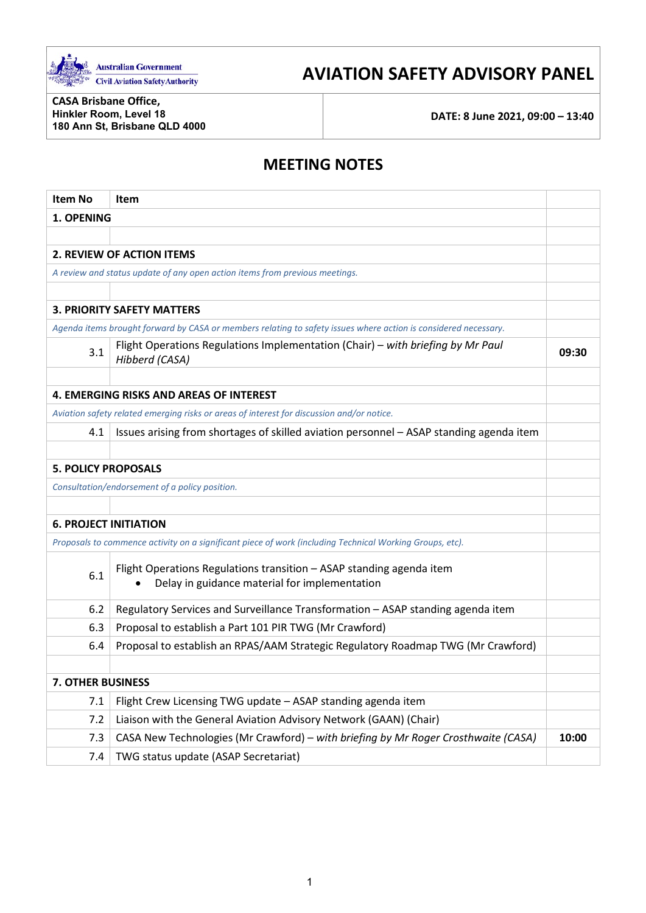

# **AVIATION SAFETY ADVISORY PANEL**

**CASA Brisbane Office, Hinkler Room, Level 18 180 Ann St, Brisbane QLD 4000**

**DATE: 8 June 2021, 09:00 – 13:40**

## **MEETING NOTES**

| <b>Item No</b>                                                                                                               | Item                                                                                                            |       |  |
|------------------------------------------------------------------------------------------------------------------------------|-----------------------------------------------------------------------------------------------------------------|-------|--|
| 1. OPENING                                                                                                                   |                                                                                                                 |       |  |
|                                                                                                                              |                                                                                                                 |       |  |
|                                                                                                                              | <b>2. REVIEW OF ACTION ITEMS</b>                                                                                |       |  |
|                                                                                                                              | A review and status update of any open action items from previous meetings.                                     |       |  |
|                                                                                                                              |                                                                                                                 |       |  |
|                                                                                                                              | <b>3. PRIORITY SAFETY MATTERS</b>                                                                               |       |  |
|                                                                                                                              | Agenda items brought forward by CASA or members relating to safety issues where action is considered necessary. |       |  |
| Flight Operations Regulations Implementation (Chair) - with briefing by Mr Paul<br>3.1<br>Hibberd (CASA)                     |                                                                                                                 | 09:30 |  |
|                                                                                                                              |                                                                                                                 |       |  |
|                                                                                                                              | <b>4. EMERGING RISKS AND AREAS OF INTEREST</b>                                                                  |       |  |
|                                                                                                                              | Aviation safety related emerging risks or areas of interest for discussion and/or notice.                       |       |  |
| Issues arising from shortages of skilled aviation personnel - ASAP standing agenda item<br>4.1                               |                                                                                                                 |       |  |
|                                                                                                                              |                                                                                                                 |       |  |
| <b>5. POLICY PROPOSALS</b>                                                                                                   |                                                                                                                 |       |  |
|                                                                                                                              | Consultation/endorsement of a policy position.                                                                  |       |  |
|                                                                                                                              |                                                                                                                 |       |  |
| <b>6. PROJECT INITIATION</b>                                                                                                 |                                                                                                                 |       |  |
|                                                                                                                              | Proposals to commence activity on a significant piece of work (including Technical Working Groups, etc).        |       |  |
| Flight Operations Regulations transition - ASAP standing agenda item<br>6.1<br>Delay in guidance material for implementation |                                                                                                                 |       |  |
| 6.2                                                                                                                          | Regulatory Services and Surveillance Transformation - ASAP standing agenda item                                 |       |  |
| 6.3                                                                                                                          | Proposal to establish a Part 101 PIR TWG (Mr Crawford)                                                          |       |  |
| Proposal to establish an RPAS/AAM Strategic Regulatory Roadmap TWG (Mr Crawford)<br>6.4                                      |                                                                                                                 |       |  |
|                                                                                                                              |                                                                                                                 |       |  |
| <b>7. OTHER BUSINESS</b>                                                                                                     |                                                                                                                 |       |  |
| 7.1                                                                                                                          | Flight Crew Licensing TWG update - ASAP standing agenda item                                                    |       |  |
| 7.2                                                                                                                          | Liaison with the General Aviation Advisory Network (GAAN) (Chair)                                               |       |  |
| 7.3                                                                                                                          | CASA New Technologies (Mr Crawford) - with briefing by Mr Roger Crosthwaite (CASA)<br>10:00                     |       |  |
| TWG status update (ASAP Secretariat)<br>7.4                                                                                  |                                                                                                                 |       |  |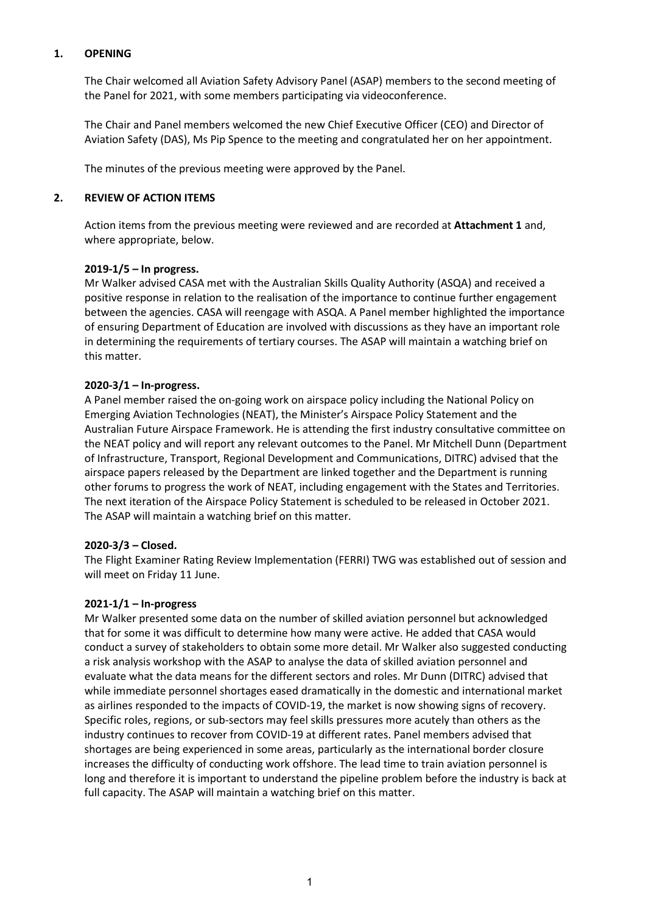## **1. OPENING**

The Chair welcomed all Aviation Safety Advisory Panel (ASAP) members to the second meeting of the Panel for 2021, with some members participating via videoconference.

The Chair and Panel members welcomed the new Chief Executive Officer (CEO) and Director of Aviation Safety (DAS), Ms Pip Spence to the meeting and congratulated her on her appointment.

The minutes of the previous meeting were approved by the Panel.

## **2. REVIEW OF ACTION ITEMS**

Action items from the previous meeting were reviewed and are recorded at **Attachment 1** and, where appropriate, below.

## **2019-1/5 – In progress.**

Mr Walker advised CASA met with the Australian Skills Quality Authority (ASQA) and received a positive response in relation to the realisation of the importance to continue further engagement between the agencies. CASA will reengage with ASQA. A Panel member highlighted the importance of ensuring Department of Education are involved with discussions as they have an important role in determining the requirements of tertiary courses. The ASAP will maintain a watching brief on this matter.

## **2020-3/1 – In-progress.**

A Panel member raised the on-going work on airspace policy including the National Policy on Emerging Aviation Technologies (NEAT), the Minister's Airspace Policy Statement and the Australian Future Airspace Framework. He is attending the first industry consultative committee on the NEAT policy and will report any relevant outcomes to the Panel. Mr Mitchell Dunn (Department of Infrastructure, Transport, Regional Development and Communications, DITRC) advised that the airspace papers released by the Department are linked together and the Department is running other forums to progress the work of NEAT, including engagement with the States and Territories. The next iteration of the Airspace Policy Statement is scheduled to be released in October 2021. The ASAP will maintain a watching brief on this matter.

#### **2020-3/3 – Closed.**

The Flight Examiner Rating Review Implementation (FERRI) TWG was established out of session and will meet on Friday 11 June.

#### **2021-1/1 – In-progress**

Mr Walker presented some data on the number of skilled aviation personnel but acknowledged that for some it was difficult to determine how many were active. He added that CASA would conduct a survey of stakeholders to obtain some more detail. Mr Walker also suggested conducting a risk analysis workshop with the ASAP to analyse the data of skilled aviation personnel and evaluate what the data means for the different sectors and roles. Mr Dunn (DITRC) advised that while immediate personnel shortages eased dramatically in the domestic and international market as airlines responded to the impacts of COVID-19, the market is now showing signs of recovery. Specific roles, regions, or sub-sectors may feel skills pressures more acutely than others as the industry continues to recover from COVID-19 at different rates. Panel members advised that shortages are being experienced in some areas, particularly as the international border closure increases the difficulty of conducting work offshore. The lead time to train aviation personnel is long and therefore it is important to understand the pipeline problem before the industry is back at full capacity. The ASAP will maintain a watching brief on this matter.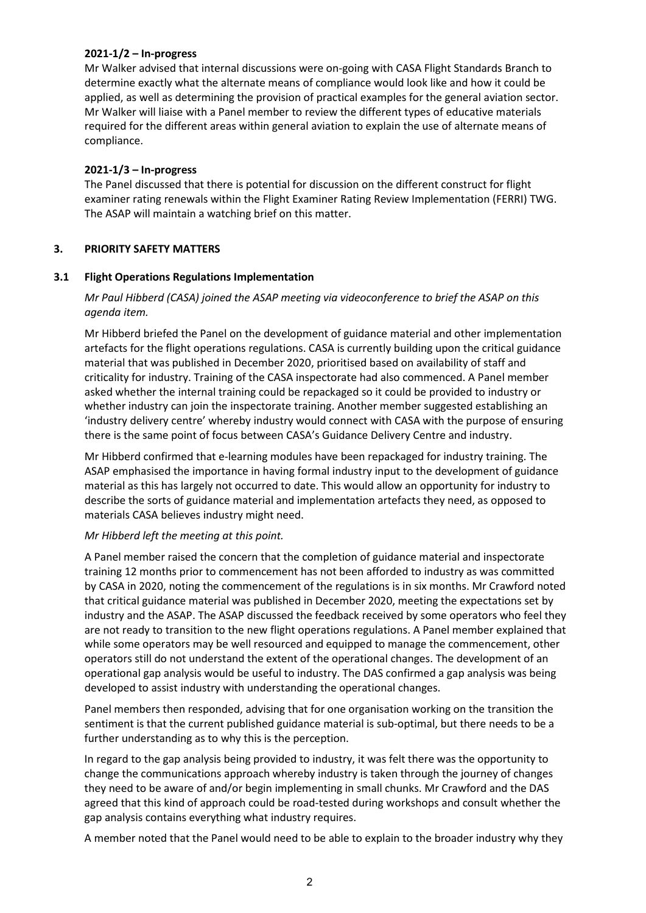#### **2021-1/2 – In-progress**

Mr Walker advised that internal discussions were on-going with CASA Flight Standards Branch to determine exactly what the alternate means of compliance would look like and how it could be applied, as well as determining the provision of practical examples for the general aviation sector. Mr Walker will liaise with a Panel member to review the different types of educative materials required for the different areas within general aviation to explain the use of alternate means of compliance.

#### **2021-1/3 – In-progress**

The Panel discussed that there is potential for discussion on the different construct for flight examiner rating renewals within the Flight Examiner Rating Review Implementation (FERRI) TWG. The ASAP will maintain a watching brief on this matter.

## **3. PRIORITY SAFETY MATTERS**

## **3.1 Flight Operations Regulations Implementation**

## *Mr Paul Hibberd (CASA) joined the ASAP meeting via videoconference to brief the ASAP on this agenda item.*

Mr Hibberd briefed the Panel on the development of guidance material and other implementation artefacts for the flight operations regulations. CASA is currently building upon the critical guidance material that was published in December 2020, prioritised based on availability of staff and criticality for industry. Training of the CASA inspectorate had also commenced. A Panel member asked whether the internal training could be repackaged so it could be provided to industry or whether industry can join the inspectorate training. Another member suggested establishing an 'industry delivery centre' whereby industry would connect with CASA with the purpose of ensuring there is the same point of focus between CASA's Guidance Delivery Centre and industry.

Mr Hibberd confirmed that e-learning modules have been repackaged for industry training. The ASAP emphasised the importance in having formal industry input to the development of guidance material as this has largely not occurred to date. This would allow an opportunity for industry to describe the sorts of guidance material and implementation artefacts they need, as opposed to materials CASA believes industry might need.

#### *Mr Hibberd left the meeting at this point.*

A Panel member raised the concern that the completion of guidance material and inspectorate training 12 months prior to commencement has not been afforded to industry as was committed by CASA in 2020, noting the commencement of the regulations is in six months. Mr Crawford noted that critical guidance material was published in December 2020, meeting the expectations set by industry and the ASAP. The ASAP discussed the feedback received by some operators who feel they are not ready to transition to the new flight operations regulations. A Panel member explained that while some operators may be well resourced and equipped to manage the commencement, other operators still do not understand the extent of the operational changes. The development of an operational gap analysis would be useful to industry. The DAS confirmed a gap analysis was being developed to assist industry with understanding the operational changes.

Panel members then responded, advising that for one organisation working on the transition the sentiment is that the current published guidance material is sub-optimal, but there needs to be a further understanding as to why this is the perception.

In regard to the gap analysis being provided to industry, it was felt there was the opportunity to change the communications approach whereby industry is taken through the journey of changes they need to be aware of and/or begin implementing in small chunks. Mr Crawford and the DAS agreed that this kind of approach could be road-tested during workshops and consult whether the gap analysis contains everything what industry requires.

A member noted that the Panel would need to be able to explain to the broader industry why they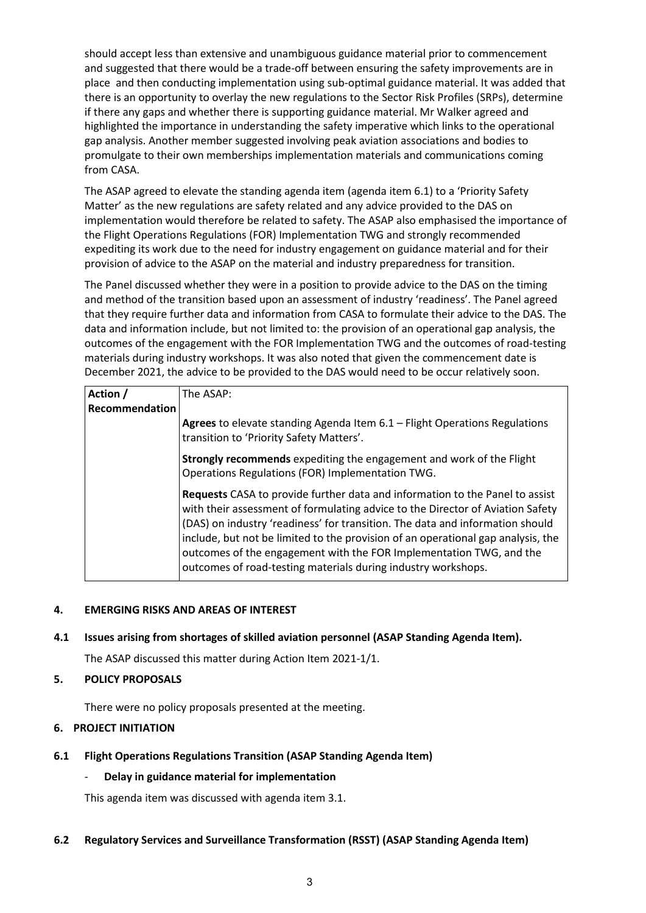should accept less than extensive and unambiguous guidance material prior to commencement and suggested that there would be a trade-off between ensuring the safety improvements are in place and then conducting implementation using sub-optimal guidance material. It was added that there is an opportunity to overlay the new regulations to the Sector Risk Profiles (SRPs), determine if there any gaps and whether there is supporting guidance material. Mr Walker agreed and highlighted the importance in understanding the safety imperative which links to the operational gap analysis. Another member suggested involving peak aviation associations and bodies to promulgate to their own memberships implementation materials and communications coming from CASA.

The ASAP agreed to elevate the standing agenda item (agenda item 6.1) to a 'Priority Safety Matter' as the new regulations are safety related and any advice provided to the DAS on implementation would therefore be related to safety. The ASAP also emphasised the importance of the Flight Operations Regulations (FOR) Implementation TWG and strongly recommended expediting its work due to the need for industry engagement on guidance material and for their provision of advice to the ASAP on the material and industry preparedness for transition.

The Panel discussed whether they were in a position to provide advice to the DAS on the timing and method of the transition based upon an assessment of industry 'readiness'. The Panel agreed that they require further data and information from CASA to formulate their advice to the DAS. The data and information include, but not limited to: the provision of an operational gap analysis, the outcomes of the engagement with the FOR Implementation TWG and the outcomes of road-testing materials during industry workshops. It was also noted that given the commencement date is December 2021, the advice to be provided to the DAS would need to be occur relatively soon.

| Action /       | The ASAP:                                                                                                                                                                                                                                                                                                                                                                                                                                                                          |
|----------------|------------------------------------------------------------------------------------------------------------------------------------------------------------------------------------------------------------------------------------------------------------------------------------------------------------------------------------------------------------------------------------------------------------------------------------------------------------------------------------|
| Recommendation |                                                                                                                                                                                                                                                                                                                                                                                                                                                                                    |
|                | Agrees to elevate standing Agenda Item 6.1 - Flight Operations Regulations<br>transition to 'Priority Safety Matters'.                                                                                                                                                                                                                                                                                                                                                             |
|                | Strongly recommends expediting the engagement and work of the Flight<br>Operations Regulations (FOR) Implementation TWG.                                                                                                                                                                                                                                                                                                                                                           |
|                | <b>Requests</b> CASA to provide further data and information to the Panel to assist<br>with their assessment of formulating advice to the Director of Aviation Safety<br>(DAS) on industry 'readiness' for transition. The data and information should<br>include, but not be limited to the provision of an operational gap analysis, the<br>outcomes of the engagement with the FOR Implementation TWG, and the<br>outcomes of road-testing materials during industry workshops. |

## **4. EMERGING RISKS AND AREAS OF INTEREST**

## **4.1 Issues arising from shortages of skilled aviation personnel (ASAP Standing Agenda Item).**

The ASAP discussed this matter during Action Item 2021-1/1.

#### **5. POLICY PROPOSALS**

There were no policy proposals presented at the meeting.

#### **6. PROJECT INITIATION**

#### **6.1 Flight Operations Regulations Transition (ASAP Standing Agenda Item)**

#### - **Delay in guidance material for implementation**

This agenda item was discussed with agenda item 3.1.

#### **6.2 Regulatory Services and Surveillance Transformation (RSST) (ASAP Standing Agenda Item)**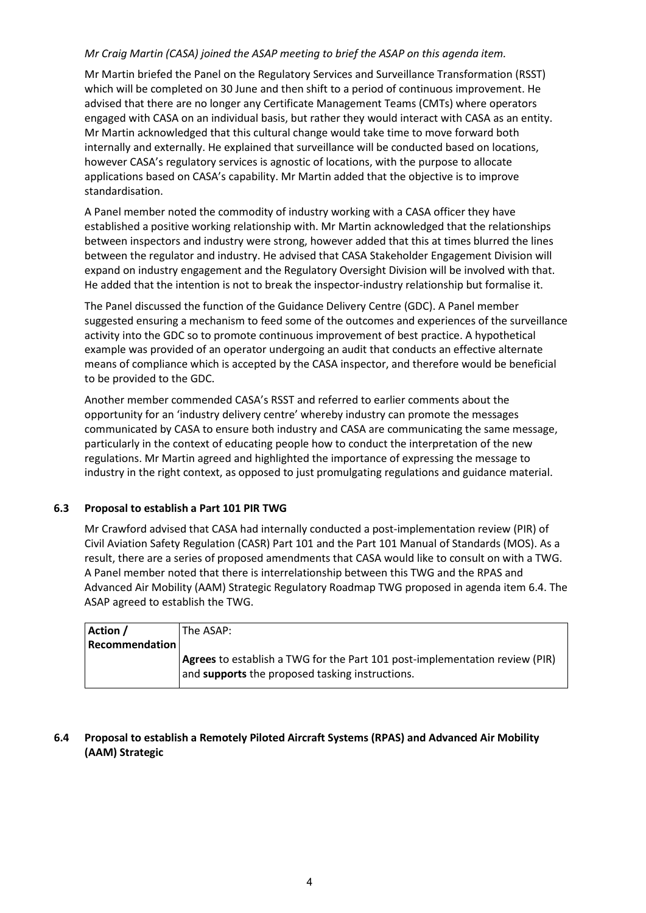## *Mr Craig Martin (CASA) joined the ASAP meeting to brief the ASAP on this agenda item.*

Mr Martin briefed the Panel on the Regulatory Services and Surveillance Transformation (RSST) which will be completed on 30 June and then shift to a period of continuous improvement. He advised that there are no longer any Certificate Management Teams (CMTs) where operators engaged with CASA on an individual basis, but rather they would interact with CASA as an entity. Mr Martin acknowledged that this cultural change would take time to move forward both internally and externally. He explained that surveillance will be conducted based on locations, however CASA's regulatory services is agnostic of locations, with the purpose to allocate applications based on CASA's capability. Mr Martin added that the objective is to improve standardisation.

A Panel member noted the commodity of industry working with a CASA officer they have established a positive working relationship with. Mr Martin acknowledged that the relationships between inspectors and industry were strong, however added that this at times blurred the lines between the regulator and industry. He advised that CASA Stakeholder Engagement Division will expand on industry engagement and the Regulatory Oversight Division will be involved with that. He added that the intention is not to break the inspector-industry relationship but formalise it.

The Panel discussed the function of the Guidance Delivery Centre (GDC). A Panel member suggested ensuring a mechanism to feed some of the outcomes and experiences of the surveillance activity into the GDC so to promote continuous improvement of best practice. A hypothetical example was provided of an operator undergoing an audit that conducts an effective alternate means of compliance which is accepted by the CASA inspector, and therefore would be beneficial to be provided to the GDC.

Another member commended CASA's RSST and referred to earlier comments about the opportunity for an 'industry delivery centre' whereby industry can promote the messages communicated by CASA to ensure both industry and CASA are communicating the same message, particularly in the context of educating people how to conduct the interpretation of the new regulations. Mr Martin agreed and highlighted the importance of expressing the message to industry in the right context, as opposed to just promulgating regulations and guidance material.

## **6.3 Proposal to establish a Part 101 PIR TWG**

Mr Crawford advised that CASA had internally conducted a post-implementation review (PIR) of Civil Aviation Safety Regulation (CASR) Part 101 and the Part 101 Manual of Standards (MOS). As a result, there are a series of proposed amendments that CASA would like to consult on with a TWG. A Panel member noted that there is interrelationship between this TWG and the RPAS and Advanced Air Mobility (AAM) Strategic Regulatory Roadmap TWG proposed in agenda item 6.4. The ASAP agreed to establish the TWG.

| <b>Recommendation</b>                                                       |  |
|-----------------------------------------------------------------------------|--|
| Agrees to establish a TWG for the Part 101 post-implementation review (PIR) |  |
| and <b>supports</b> the proposed tasking instructions.                      |  |

## **6.4 Proposal to establish a Remotely Piloted Aircraft Systems (RPAS) and Advanced Air Mobility (AAM) Strategic**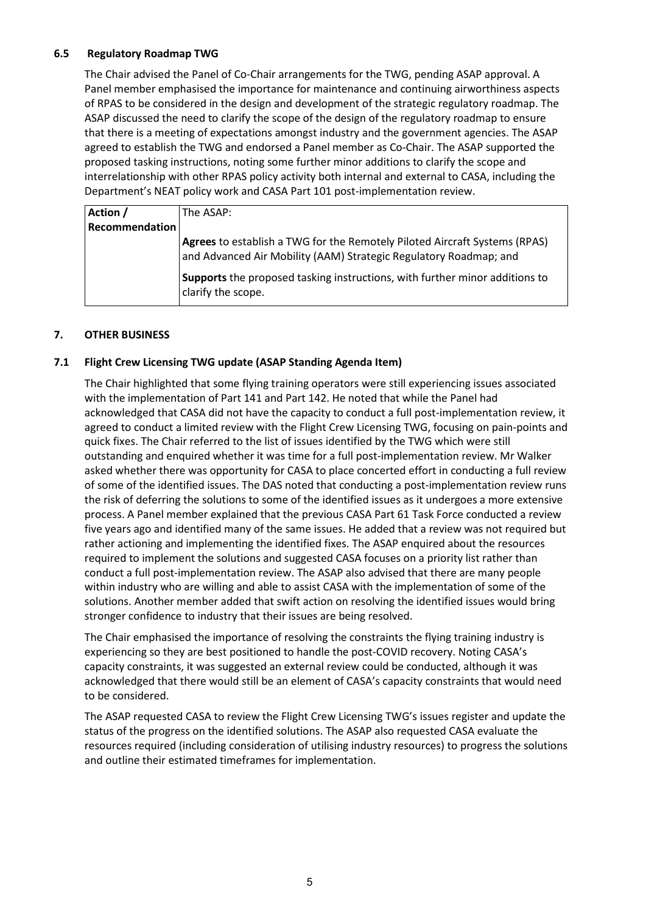## **6.5 Regulatory Roadmap TWG**

The Chair advised the Panel of Co-Chair arrangements for the TWG, pending ASAP approval. A Panel member emphasised the importance for maintenance and continuing airworthiness aspects of RPAS to be considered in the design and development of the strategic regulatory roadmap. The ASAP discussed the need to clarify the scope of the design of the regulatory roadmap to ensure that there is a meeting of expectations amongst industry and the government agencies. The ASAP agreed to establish the TWG and endorsed a Panel member as Co-Chair. The ASAP supported the proposed tasking instructions, noting some further minor additions to clarify the scope and interrelationship with other RPAS policy activity both internal and external to CASA, including the Department's NEAT policy work and CASA Part 101 post-implementation review.

| Action /              | The ASAP:                                                                                                                                       |
|-----------------------|-------------------------------------------------------------------------------------------------------------------------------------------------|
| <b>Recommendation</b> |                                                                                                                                                 |
|                       | Agrees to establish a TWG for the Remotely Piloted Aircraft Systems (RPAS)<br>and Advanced Air Mobility (AAM) Strategic Regulatory Roadmap; and |
|                       | Supports the proposed tasking instructions, with further minor additions to<br>clarify the scope.                                               |

## **7. OTHER BUSINESS**

## **7.1 Flight Crew Licensing TWG update (ASAP Standing Agenda Item)**

The Chair highlighted that some flying training operators were still experiencing issues associated with the implementation of Part 141 and Part 142. He noted that while the Panel had acknowledged that CASA did not have the capacity to conduct a full post-implementation review, it agreed to conduct a limited review with the Flight Crew Licensing TWG, focusing on pain-points and quick fixes. The Chair referred to the list of issues identified by the TWG which were still outstanding and enquired whether it was time for a full post-implementation review. Mr Walker asked whether there was opportunity for CASA to place concerted effort in conducting a full review of some of the identified issues. The DAS noted that conducting a post-implementation review runs the risk of deferring the solutions to some of the identified issues as it undergoes a more extensive process. A Panel member explained that the previous CASA Part 61 Task Force conducted a review five years ago and identified many of the same issues. He added that a review was not required but rather actioning and implementing the identified fixes. The ASAP enquired about the resources required to implement the solutions and suggested CASA focuses on a priority list rather than conduct a full post-implementation review. The ASAP also advised that there are many people within industry who are willing and able to assist CASA with the implementation of some of the solutions. Another member added that swift action on resolving the identified issues would bring stronger confidence to industry that their issues are being resolved.

The Chair emphasised the importance of resolving the constraints the flying training industry is experiencing so they are best positioned to handle the post-COVID recovery. Noting CASA's capacity constraints, it was suggested an external review could be conducted, although it was acknowledged that there would still be an element of CASA's capacity constraints that would need to be considered.

The ASAP requested CASA to review the Flight Crew Licensing TWG's issues register and update the status of the progress on the identified solutions. The ASAP also requested CASA evaluate the resources required (including consideration of utilising industry resources) to progress the solutions and outline their estimated timeframes for implementation.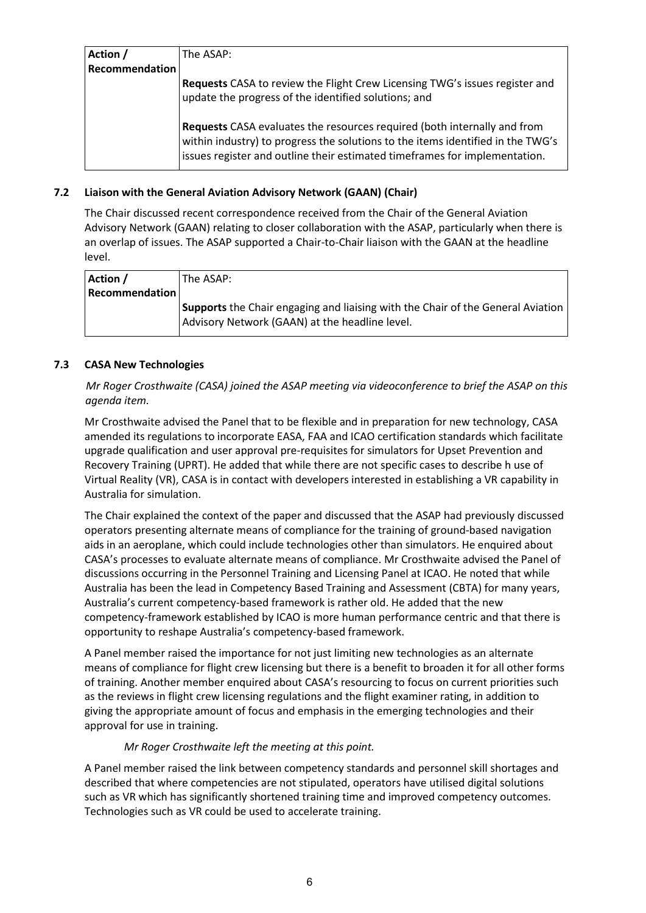| Action /              | The ASAP:                                                                                                                                                                                                                                 |
|-----------------------|-------------------------------------------------------------------------------------------------------------------------------------------------------------------------------------------------------------------------------------------|
| <b>Recommendation</b> |                                                                                                                                                                                                                                           |
|                       | Requests CASA to review the Flight Crew Licensing TWG's issues register and<br>update the progress of the identified solutions; and                                                                                                       |
|                       | Requests CASA evaluates the resources required (both internally and from<br>within industry) to progress the solutions to the items identified in the TWG's<br>issues register and outline their estimated timeframes for implementation. |

## **7.2 Liaison with the General Aviation Advisory Network (GAAN) (Chair)**

The Chair discussed recent correspondence received from the Chair of the General Aviation Advisory Network (GAAN) relating to closer collaboration with the ASAP, particularly when there is an overlap of issues. The ASAP supported a Chair-to-Chair liaison with the GAAN at the headline level.

| Supports the Chair engaging and liaising with the Chair of the General Aviation |
|---------------------------------------------------------------------------------|
|                                                                                 |
|                                                                                 |

## **7.3 CASA New Technologies**

*Mr Roger Crosthwaite (CASA) joined the ASAP meeting via videoconference to brief the ASAP on this agenda item.*

Mr Crosthwaite advised the Panel that to be flexible and in preparation for new technology, CASA amended its regulations to incorporate EASA, FAA and ICAO certification standards which facilitate upgrade qualification and user approval pre-requisites for simulators for Upset Prevention and Recovery Training (UPRT). He added that while there are not specific cases to describe h use of Virtual Reality (VR), CASA is in contact with developers interested in establishing a VR capability in Australia for simulation.

The Chair explained the context of the paper and discussed that the ASAP had previously discussed operators presenting alternate means of compliance for the training of ground-based navigation aids in an aeroplane, which could include technologies other than simulators. He enquired about CASA's processes to evaluate alternate means of compliance. Mr Crosthwaite advised the Panel of discussions occurring in the Personnel Training and Licensing Panel at ICAO. He noted that while Australia has been the lead in Competency Based Training and Assessment (CBTA) for many years, Australia's current competency-based framework is rather old. He added that the new competency-framework established by ICAO is more human performance centric and that there is opportunity to reshape Australia's competency-based framework.

A Panel member raised the importance for not just limiting new technologies as an alternate means of compliance for flight crew licensing but there is a benefit to broaden it for all other forms of training. Another member enquired about CASA's resourcing to focus on current priorities such as the reviews in flight crew licensing regulations and the flight examiner rating, in addition to giving the appropriate amount of focus and emphasis in the emerging technologies and their approval for use in training.

## *Mr Roger Crosthwaite left the meeting at this point.*

A Panel member raised the link between competency standards and personnel skill shortages and described that where competencies are not stipulated, operators have utilised digital solutions such as VR which has significantly shortened training time and improved competency outcomes. Technologies such as VR could be used to accelerate training.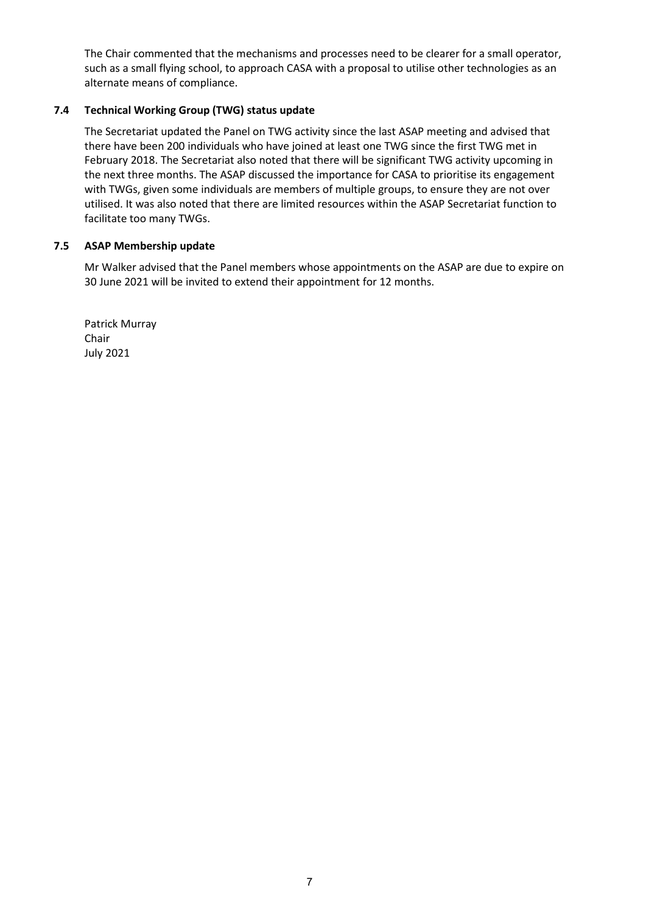The Chair commented that the mechanisms and processes need to be clearer for a small operator, such as a small flying school, to approach CASA with a proposal to utilise other technologies as an alternate means of compliance.

## **7.4 Technical Working Group (TWG) status update**

The Secretariat updated the Panel on TWG activity since the last ASAP meeting and advised that there have been 200 individuals who have joined at least one TWG since the first TWG met in February 2018. The Secretariat also noted that there will be significant TWG activity upcoming in the next three months. The ASAP discussed the importance for CASA to prioritise its engagement with TWGs, given some individuals are members of multiple groups, to ensure they are not over utilised. It was also noted that there are limited resources within the ASAP Secretariat function to facilitate too many TWGs.

#### **7.5 ASAP Membership update**

Mr Walker advised that the Panel members whose appointments on the ASAP are due to expire on 30 June 2021 will be invited to extend their appointment for 12 months.

Patrick Murray Chair July 2021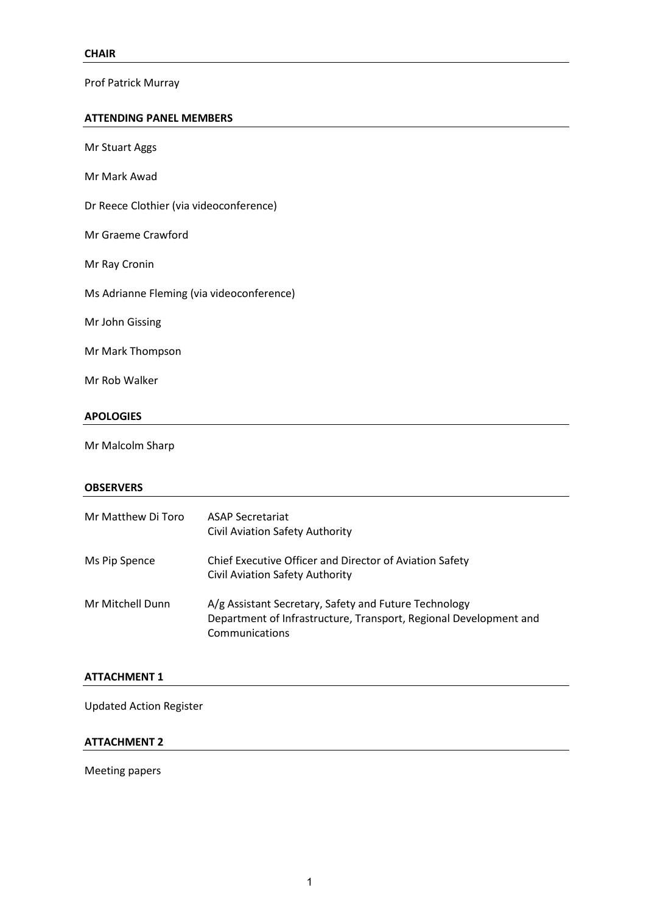Prof Patrick Murray

#### **ATTENDING PANEL MEMBERS**

| <b>APOLOGIES</b>                          |
|-------------------------------------------|
| Mr Rob Walker                             |
| Mr Mark Thompson                          |
| Mr John Gissing                           |
| Ms Adrianne Fleming (via videoconference) |
| Mr Ray Cronin                             |
| Mr Graeme Crawford                        |
| Dr Reece Clothier (via videoconference)   |
| Mr Mark Awad                              |
| <b>Mr Stuart Aggs</b>                     |

Mr Malcolm Sharp

#### **OBSERVERS**

| Mr Matthew Di Toro | <b>ASAP Secretariat</b><br><b>Civil Aviation Safety Authority</b>                                                                            |
|--------------------|----------------------------------------------------------------------------------------------------------------------------------------------|
| Ms Pip Spence      | Chief Executive Officer and Director of Aviation Safety<br>Civil Aviation Safety Authority                                                   |
| Mr Mitchell Dunn   | A/g Assistant Secretary, Safety and Future Technology<br>Department of Infrastructure, Transport, Regional Development and<br>Communications |

## **ATTACHMENT 1**

Updated Action Register

## **ATTACHMENT 2**

Meeting papers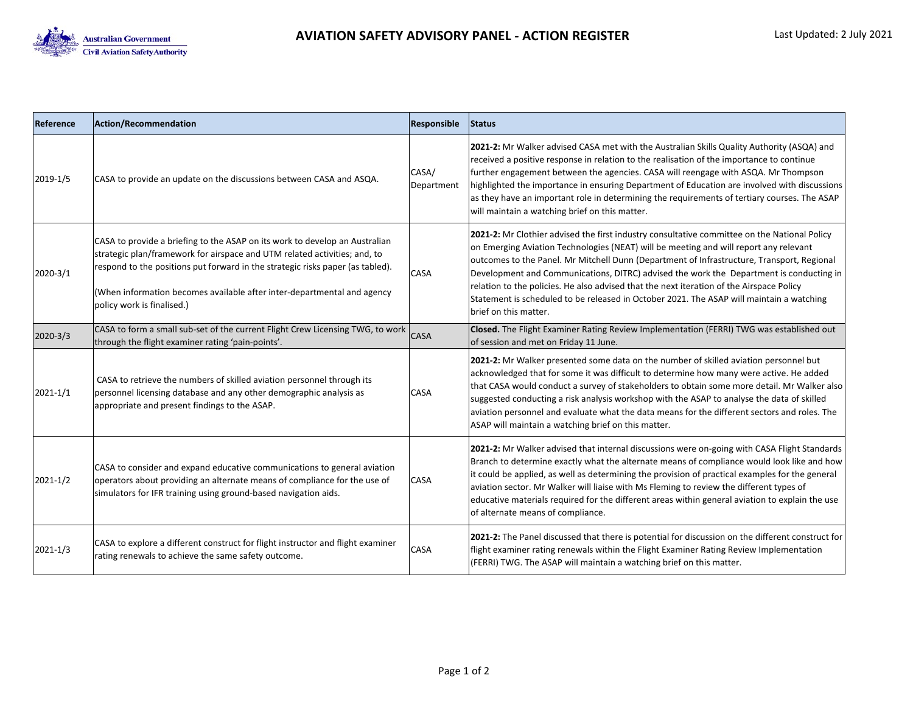

| Reference    | <b>Action/Recommendation</b>                                                                                                                                                                                                                                                                                                                        | Responsible         | Status                                                                                                                                                                                                                                                                                                                                                                                                                                                                                                                                                                                          |
|--------------|-----------------------------------------------------------------------------------------------------------------------------------------------------------------------------------------------------------------------------------------------------------------------------------------------------------------------------------------------------|---------------------|-------------------------------------------------------------------------------------------------------------------------------------------------------------------------------------------------------------------------------------------------------------------------------------------------------------------------------------------------------------------------------------------------------------------------------------------------------------------------------------------------------------------------------------------------------------------------------------------------|
| 2019-1/5     | CASA to provide an update on the discussions between CASA and ASQA.                                                                                                                                                                                                                                                                                 | CASA/<br>Department | 2021-2: Mr Walker advised CASA met with the Australian Skills Quality Authority (ASQA) and<br>received a positive response in relation to the realisation of the importance to continue<br>further engagement between the agencies. CASA will reengage with ASQA. Mr Thompson<br>highlighted the importance in ensuring Department of Education are involved with discussions<br>as they have an important role in determining the requirements of tertiary courses. The ASAP<br>will maintain a watching brief on this matter.                                                                 |
| 2020-3/1     | CASA to provide a briefing to the ASAP on its work to develop an Australian<br>strategic plan/framework for airspace and UTM related activities; and, to<br>respond to the positions put forward in the strategic risks paper (as tabled).<br>(When information becomes available after inter-departmental and agency<br>policy work is finalised.) | <b>CASA</b>         | 2021-2: Mr Clothier advised the first industry consultative committee on the National Policy<br>on Emerging Aviation Technologies (NEAT) will be meeting and will report any relevant<br>outcomes to the Panel. Mr Mitchell Dunn (Department of Infrastructure, Transport, Regional<br>Development and Communications, DITRC) advised the work the Department is conducting in<br>relation to the policies. He also advised that the next iteration of the Airspace Policy<br>Statement is scheduled to be released in October 2021. The ASAP will maintain a watching<br>brief on this matter. |
| 2020-3/3     | CASA to form a small sub-set of the current Flight Crew Licensing TWG, to work<br>through the flight examiner rating 'pain-points'.                                                                                                                                                                                                                 | CASA                | Closed. The Flight Examiner Rating Review Implementation (FERRI) TWG was established out<br>of session and met on Friday 11 June.                                                                                                                                                                                                                                                                                                                                                                                                                                                               |
| $2021 - 1/1$ | CASA to retrieve the numbers of skilled aviation personnel through its<br>personnel licensing database and any other demographic analysis as<br>appropriate and present findings to the ASAP.                                                                                                                                                       | <b>CASA</b>         | 2021-2: Mr Walker presented some data on the number of skilled aviation personnel but<br>acknowledged that for some it was difficult to determine how many were active. He added<br>that CASA would conduct a survey of stakeholders to obtain some more detail. Mr Walker also<br>suggested conducting a risk analysis workshop with the ASAP to analyse the data of skilled<br>aviation personnel and evaluate what the data means for the different sectors and roles. The<br>ASAP will maintain a watching brief on this matter.                                                            |
| $2021 - 1/2$ | CASA to consider and expand educative communications to general aviation<br>operators about providing an alternate means of compliance for the use of<br>simulators for IFR training using ground-based navigation aids.                                                                                                                            | CASA                | 2021-2: Mr Walker advised that internal discussions were on-going with CASA Flight Standards<br>Branch to determine exactly what the alternate means of compliance would look like and how<br>it could be applied, as well as determining the provision of practical examples for the general<br>aviation sector. Mr Walker will liaise with Ms Fleming to review the different types of<br>educative materials required for the different areas within general aviation to explain the use<br>of alternate means of compliance.                                                                |
| 2021-1/3     | CASA to explore a different construct for flight instructor and flight examiner<br>rating renewals to achieve the same safety outcome.                                                                                                                                                                                                              | CASA                | 2021-2: The Panel discussed that there is potential for discussion on the different construct for<br>flight examiner rating renewals within the Flight Examiner Rating Review Implementation<br>(FERRI) TWG. The ASAP will maintain a watching brief on this matter.                                                                                                                                                                                                                                                                                                                            |